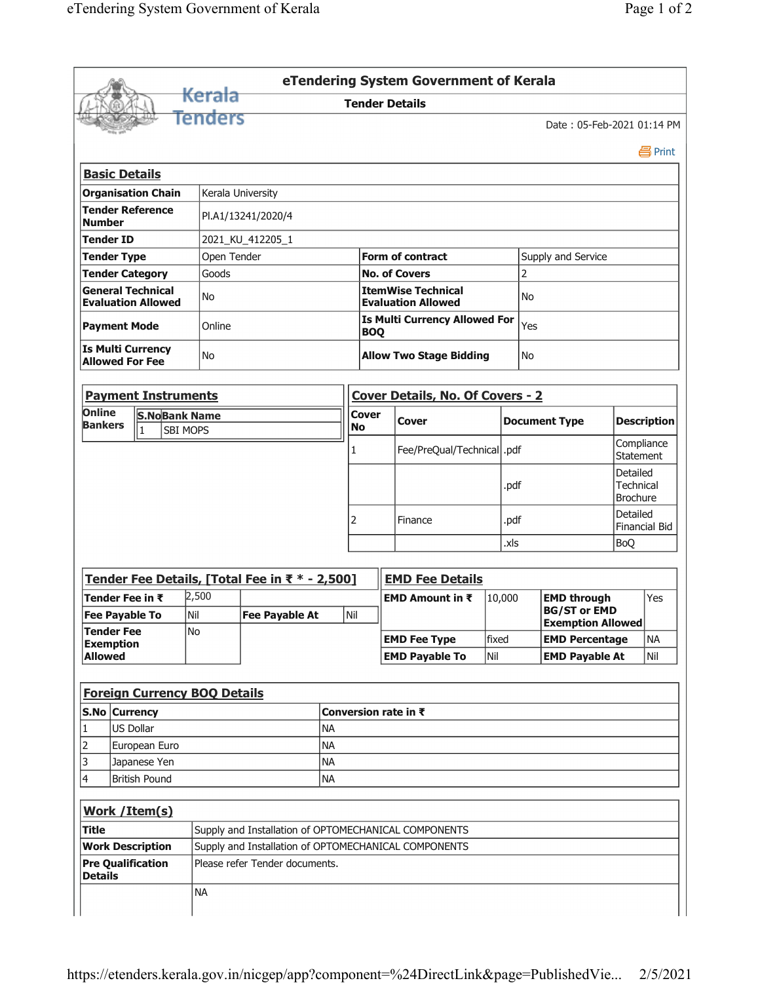|                                                                                              |               |                           |                                |                                     |                                                      |                                 |                           |                                                           | eTendering System Government of Kerala |              |                      |                                                                       |                                                 |                                  |  |  |
|----------------------------------------------------------------------------------------------|---------------|---------------------------|--------------------------------|-------------------------------------|------------------------------------------------------|---------------------------------|---------------------------|-----------------------------------------------------------|----------------------------------------|--------------|----------------------|-----------------------------------------------------------------------|-------------------------------------------------|----------------------------------|--|--|
|                                                                                              |               |                           |                                | <del>Kerala</del>                   |                                                      |                                 | <b>Tender Details</b>     |                                                           |                                        |              |                      |                                                                       |                                                 |                                  |  |  |
|                                                                                              |               |                           |                                | Tenders                             |                                                      |                                 |                           |                                                           |                                        |              |                      | Date: 05-Feb-2021 01:14 PM                                            |                                                 |                                  |  |  |
|                                                                                              |               |                           |                                |                                     |                                                      |                                 |                           |                                                           |                                        |              |                      |                                                                       |                                                 | 昌 Print                          |  |  |
| <b>Basic Details</b>                                                                         |               |                           |                                |                                     |                                                      |                                 |                           |                                                           |                                        |              |                      |                                                                       |                                                 |                                  |  |  |
| <b>Organisation Chain</b>                                                                    |               |                           |                                | Kerala University                   |                                                      |                                 |                           |                                                           |                                        |              |                      |                                                                       |                                                 |                                  |  |  |
| <b>Tender Reference</b><br>PI.A1/13241/2020/4<br><b>Number</b>                               |               |                           |                                |                                     |                                                      |                                 |                           |                                                           |                                        |              |                      |                                                                       |                                                 |                                  |  |  |
| <b>Tender ID</b>                                                                             |               |                           |                                |                                     | 2021 KU 412205 1                                     |                                 |                           |                                                           |                                        |              |                      |                                                                       |                                                 |                                  |  |  |
| <b>Tender Type</b>                                                                           |               |                           |                                | Open Tender                         |                                                      | <b>Form of contract</b>         |                           |                                                           |                                        |              | Supply and Service   |                                                                       |                                                 |                                  |  |  |
| <b>Tender Category</b>                                                                       |               |                           |                                | Goods                               |                                                      |                                 |                           | <b>No. of Covers</b>                                      |                                        |              |                      |                                                                       |                                                 |                                  |  |  |
| <b>General Technical</b><br><b>Evaluation Allowed</b>                                        |               |                           |                                | No                                  |                                                      |                                 |                           | <b>ItemWise Technical</b><br><b>Evaluation Allowed</b>    |                                        |              |                      | No                                                                    |                                                 |                                  |  |  |
| <b>Payment Mode</b>                                                                          |               |                           |                                | Online                              |                                                      |                                 |                           | <b>Is Multi Currency Allowed For</b><br>Yes<br><b>BOQ</b> |                                        |              |                      |                                                                       |                                                 |                                  |  |  |
| <b>Is Multi Currency</b><br><b>Allowed For Fee</b>                                           |               |                           |                                | No                                  |                                                      |                                 |                           |                                                           | <b>Allow Two Stage Bidding</b>         | No           |                      |                                                                       |                                                 |                                  |  |  |
|                                                                                              |               |                           |                                | <b>Payment Instruments</b>          |                                                      |                                 |                           |                                                           | Cover Details, No. Of Covers - 2       |              |                      |                                                                       |                                                 |                                  |  |  |
| <b>Online</b><br><b>S.NoBank Name</b><br><b>Bankers</b><br>$\overline{1}$<br><b>SBI MOPS</b> |               |                           |                                |                                     |                                                      |                                 | <b>Cover</b><br><b>No</b> |                                                           | Cover                                  |              | <b>Document Type</b> |                                                                       | <b>Description</b>                              |                                  |  |  |
|                                                                                              |               |                           |                                |                                     |                                                      |                                 |                           |                                                           | Fee/PreQual/Technical  .pdf            |              |                      |                                                                       | Compliance<br><b>Statement</b>                  |                                  |  |  |
|                                                                                              |               |                           |                                |                                     |                                                      |                                 |                           |                                                           |                                        |              | .pdf                 |                                                                       | Detailed<br><b>Technical</b><br><b>Brochure</b> |                                  |  |  |
|                                                                                              |               |                           |                                |                                     |                                                      |                                 |                           |                                                           | Finance                                | .pdf         |                      |                                                                       |                                                 | Detailed<br><b>Financial Bid</b> |  |  |
|                                                                                              |               |                           |                                |                                     |                                                      |                                 | .xls                      |                                                           |                                        |              |                      | <b>BoQ</b>                                                            |                                                 |                                  |  |  |
|                                                                                              |               |                           |                                |                                     | Tender Fee Details, [Total Fee in ₹ * - 2,500]       |                                 |                           |                                                           | <b>EMD Fee Details</b>                 |              |                      |                                                                       |                                                 |                                  |  |  |
| Tender Fee in ₹                                                                              |               |                           |                                | 2,500                               |                                                      |                                 |                           |                                                           | EMD Amount in ₹                        |              | 10,000               | <b>EMD through</b><br><b>BG/ST or EMD</b><br><b>Exemption Allowed</b> |                                                 | Yes                              |  |  |
| <b>Fee Pavable To</b><br><b>Tender Fee</b><br><b>Exemption</b>                               |               |                           |                                | Nil<br><b>Fee Pavable At</b><br>No  |                                                      | Nil                             |                           |                                                           |                                        |              |                      |                                                                       |                                                 |                                  |  |  |
|                                                                                              |               |                           |                                |                                     |                                                      |                                 |                           |                                                           | <b>EMD Fee Type</b>                    | fixed<br>Nil |                      | <b>EMD Percentage</b><br><b>EMD Payable At</b>                        |                                                 | <b>NA</b>                        |  |  |
| <b>Allowed</b>                                                                               |               |                           |                                |                                     |                                                      |                                 |                           |                                                           | <b>EMD Payable To</b>                  |              |                      |                                                                       |                                                 | Nil                              |  |  |
|                                                                                              |               |                           |                                | <b>Foreign Currency BOQ Details</b> |                                                      |                                 |                           |                                                           |                                        |              |                      |                                                                       |                                                 |                                  |  |  |
|                                                                                              | S.No Currency |                           |                                |                                     |                                                      | Conversion rate in $\bar{\tau}$ |                           |                                                           |                                        |              |                      |                                                                       |                                                 |                                  |  |  |
| 1                                                                                            | US Dollar     |                           |                                |                                     |                                                      |                                 |                           |                                                           |                                        |              |                      |                                                                       |                                                 |                                  |  |  |
| $\overline{2}$                                                                               |               | European Euro             |                                |                                     |                                                      |                                 |                           |                                                           |                                        |              |                      |                                                                       |                                                 |                                  |  |  |
| 3                                                                                            |               | <b>NA</b><br>Japanese Yen |                                |                                     |                                                      |                                 |                           |                                                           |                                        |              |                      |                                                                       |                                                 |                                  |  |  |
| 4<br><b>British Pound</b><br><b>NA</b>                                                       |               |                           |                                |                                     |                                                      |                                 |                           |                                                           |                                        |              |                      |                                                                       |                                                 |                                  |  |  |
| Work / Item(s)                                                                               |               |                           |                                |                                     |                                                      |                                 |                           |                                                           |                                        |              |                      |                                                                       |                                                 |                                  |  |  |
| Title                                                                                        |               |                           |                                |                                     | Supply and Installation of OPTOMECHANICAL COMPONENTS |                                 |                           |                                                           |                                        |              |                      |                                                                       |                                                 |                                  |  |  |
| <b>Work Description</b>                                                                      |               |                           |                                |                                     | Supply and Installation of OPTOMECHANICAL COMPONENTS |                                 |                           |                                                           |                                        |              |                      |                                                                       |                                                 |                                  |  |  |
| <b>Pre Qualification</b><br><b>Details</b>                                                   |               |                           | Please refer Tender documents. |                                     |                                                      |                                 |                           |                                                           |                                        |              |                      |                                                                       |                                                 |                                  |  |  |
|                                                                                              |               |                           |                                | <b>NA</b>                           |                                                      |                                 |                           |                                                           |                                        |              |                      |                                                                       |                                                 |                                  |  |  |